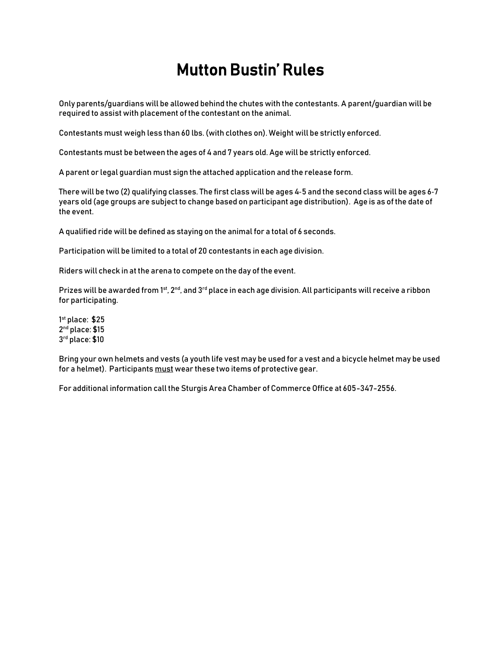## Mutton Bustin' Rules

Only parents/guardians will be allowed behind the chutes with the contestants. A parent/guardian will be required to assist with placement of the contestant on the animal.

Contestants must weigh less than 60 lbs.(with clothes on). Weight will be strictly enforced.

Contestants must be between the ages of 4 and 7 years old. Age will be strictly enforced.

A parent or legal guardian must sign the attached application and the release form.

There will be two (2) qualifying classes. The first class will be ages 4‐5 and the second class will be ages 6‐7 years old (age groups are subject to change based on participant age distribution). Age is as of the date of the event.

A qualified ride will be defined as staying on the animal for a total of 6 seconds.

Participation will be limited to a total of 20 contestants in each age division.

Riders will check in at the arena to compete on the day of the event.

Prizes will be awarded from 1<sup>st</sup>, 2<sup>nd</sup>, and 3<sup>rd</sup> place in each age division. All participants will receive a ribbon for participating.

1 st place: \$25 2 nd place: \$15 3 rd place: \$10

Bring your own helmets and vests (a youth life vest may be used for a vest and a bicycle helmet may be used for a helmet). Participants must wear these two items of protective gear.

For additional information call the Sturgis Area Chamber of Commerce Office at 605-347-2556.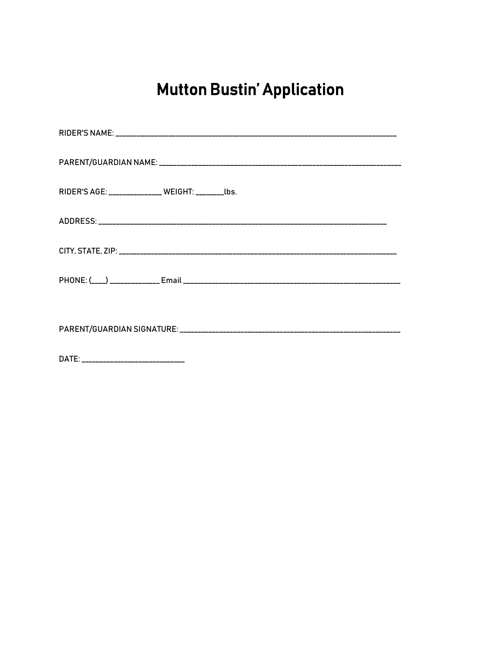## **Mutton Bustin' Application**

| RIDER'S AGE: ______________ WEIGHT: ________ lbs. |  |
|---------------------------------------------------|--|
|                                                   |  |
|                                                   |  |
|                                                   |  |
|                                                   |  |
|                                                   |  |
| <b>DATF</b>                                       |  |